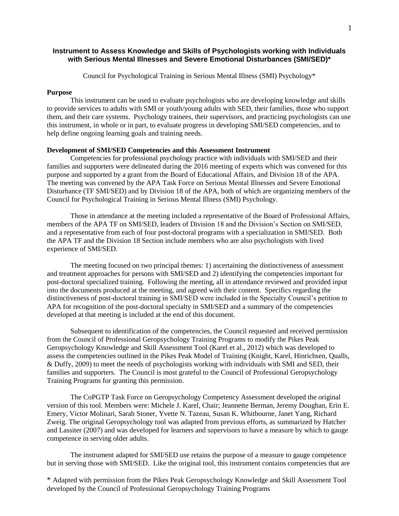### **Instrument to Assess Knowledge and Skills of Psychologists working with Individuals with Serious Mental Illnesses and Severe Emotional Disturbances (SMI/SED)\***

Council for Psychological Training in Serious Mental Illness (SMI) Psychology\*

#### **Purpose**

This instrument can be used to evaluate psychologists who are developing knowledge and skills to provide services to adults with SMI or youth/young adults with SED, their families, those who support them, and their care systems. Psychology trainees, their supervisors, and practicing psychologists can use this instrument, in whole or in part, to evaluate progress in developing SMI/SED competencies, and to help define ongoing learning goals and training needs.

### **Development of SMI/SED Competencies and this Assessment Instrument**

Competencies for professional psychology practice with individuals with SMI/SED and their families and supporters were delineated during the 2016 meeting of experts which was convened for this purpose and supported by a grant from the Board of Educational Affairs, and Division 18 of the APA. The meeting was convened by the APA Task Force on Serious Mental Illnesses and Severe Emotional Disturbance (TF SMI/SED) and by Division 18 of the APA, both of which are organizing members of the Council for Psychological Training in Serious Mental Illness (SMI) Psychology.

Those in attendance at the meeting included a representative of the Board of Professional Affairs, members of the APA TF on SMI/SED, leaders of Division 18 and the Division's Section on SMI/SED, and a representative from each of four post-doctoral programs with a specialization in SMI/SED. Both the APA TF and the Division 18 Section include members who are also psychologists with lived experience of SMI/SED.

The meeting focused on two principal themes: 1) ascertaining the distinctiveness of assessment and treatment approaches for persons with SMI/SED and 2) identifying the competencies important for post-doctoral specialized training. Following the meeting, all in attendance reviewed and provided input into the documents produced at the meeting, and agreed with their content. Specifics regarding the distinctiveness of post-doctoral training in SMI/SED were included in the Specialty Council's petition to APA for recognition of the post-doctoral specialty in SMI/SED and a summary of the competencies developed at that meeting is included at the end of this document.

Subsequent to identification of the competencies, the Council requested and received permission from the Council of Professional Geropsychology Training Programs to modify the Pikes Peak Geropsychology Knowledge and Skill Assessment Tool (Karel et al., 2012) which was developed to assess the competencies outlined in the Pikes Peak Model of Training (Knight, Karel, Hinrichsen, Qualls, & Duffy, 2009) to meet the needs of psychologists working with individuals with SMI and SED, their families and supporters. The Council is most grateful to the Council of Professional Geropsychology Training Programs for granting this permission.

The CoPGTP Task Force on Geropsychology Competency Assessment developed the original version of this tool. Members were: Michele J. Karel, Chair; Jeannette Berman, Jeremy Doughan, Erin E. Emery, Victor Molinari, Sarah Stoner, Yvette N. Tazeau, Susan K. Whitbourne, Janet Yang, Richard Zweig. The original Geropsychology tool was adapted from previous efforts, as summarized by Hatcher and Lassiter (2007) and was developed for learners and supervisors to have a measure by which to gauge competence in serving older adults.

The instrument adapted for SMI/SED use retains the purpose of a measure to gauge competence but in serving those with SMI/SED. Like the original tool, this instrument contains competencies that are

\* Adapted with permission from the Pikes Peak Geropsychology Knowledge and Skill Assessment Tool developed by the Council of Professional Geropsychology Training Programs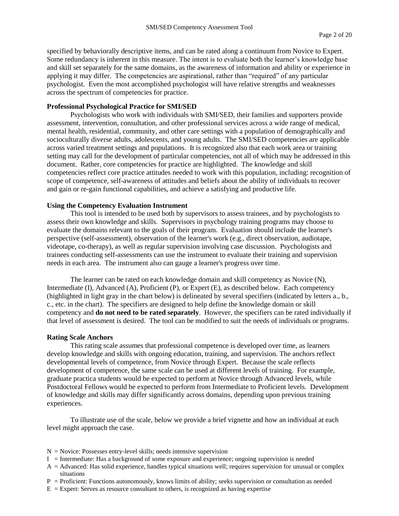specified by behaviorally descriptive items, and can be rated along a continuum from Novice to Expert. Some redundancy is inherent in this measure. The intent is to evaluate both the learner's knowledge base and skill set separately for the same domains, as the awareness of information and ability or experience in applying it may differ. The competencies are aspirational, rather than "required" of any particular psychologist. Even the most accomplished psychologist will have relative strengths and weaknesses across the spectrum of competencies for practice.

#### **Professional Psychological Practice for SMI/SED**

Psychologists who work with individuals with SMI/SED, their families and supporters provide assessment, intervention, consultation, and other professional services across a wide range of medical, mental health, residential, community, and other care settings with a population of demographically and socioculturally diverse adults, adolescents, and young adults. The SMI/SED competencies are applicable across varied treatment settings and populations. It is recognized also that each work area or training setting may call for the development of particular competencies, not all of which may be addressed in this document. Rather, core competencies for practice are highlighted. The knowledge and skill competencies reflect core practice attitudes needed to work with this population, including: recognition of scope of competence, self-awareness of attitudes and beliefs about the ability of individuals to recover and gain or re-gain functional capabilities, and achieve a satisfying and productive life.

#### **Using the Competency Evaluation Instrument**

This tool is intended to be used both by supervisors to assess trainees, and by psychologists to assess their own knowledge and skills. Supervisors in psychology training programs may choose to evaluate the domains relevant to the goals of their program. Evaluation should include the learner's perspective (self-assessment), observation of the learner's work (e.g., direct observation, audiotape, videotape, co-therapy), as well as regular supervision involving case discussion. Psychologists and trainees conducting self-assessments can use the instrument to evaluate their training and supervision needs in each area. The instrument also can gauge a learner's progress over time.

The learner can be rated on each knowledge domain and skill competency as Novice (N), Intermediate (I), Advanced (A), Proficient (P), or Expert (E), as described below. Each competency (highlighted in light gray in the chart below) is delineated by several specifiers (indicated by letters a., b., c., etc. in the chart). The specifiers are designed to help define the knowledge domain or skill competency and **do not need to be rated separately**. However, the specifiers can be rated individually if that level of assessment is desired. The tool can be modified to suit the needs of individuals or programs.

#### **Rating Scale Anchors**

This rating scale assumes that professional competence is developed over time, as learners develop knowledge and skills with ongoing education, training, and supervision. The anchors reflect developmental levels of competence, from Novice through Expert. Because the scale reflects development of competence, the same scale can be used at different levels of training. For example, graduate practica students would be expected to perform at Novice through Advanced levels, while Postdoctoral Fellows would be expected to perform from Intermediate to Proficient levels. Development of knowledge and skills may differ significantly across domains, depending upon previous training experiences.

To illustrate use of the scale, below we provide a brief vignette and how an individual at each level might approach the case.

- $N = \text{Novice: Possesses entry-level skills; needs intensive supervision}$
- $I =$  Intermediate: Has a background of some exposure and experience; ongoing supervision is needed
- $A =$  Advanced: Has solid experience, handles typical situations well; requires supervision for unusual or complex situations
- $P =$  Proficient: Functions autonomously, knows limits of ability; seeks supervision or consultation as needed
- $E =$  Expert: Serves as resource consultant to others, is recognized as having expertise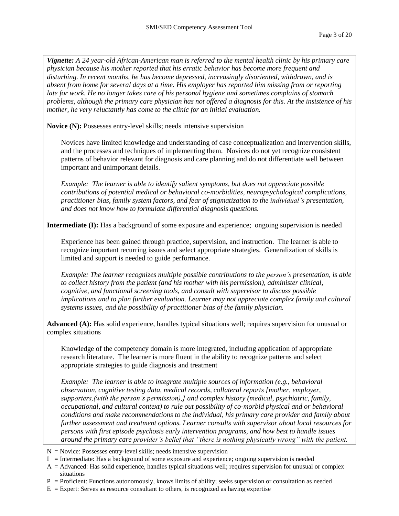*Vignette: A 24 year-old African-American man is referred to the mental health clinic by his primary care physician because his mother reported that his erratic behavior has become more frequent and disturbing. In recent months, he has become depressed, increasingly disoriented, withdrawn, and is absent from home for several days at a time. His employer has reported him missing from or reporting late for work. He no longer takes care of his personal hygiene and sometimes complains of stomach problems, although the primary care physician has not offered a diagnosis for this. At the insistence of his mother, he very reluctantly has come to the clinic for an initial evaluation.*

**Novice (N):** Possesses entry-level skills; needs intensive supervision

Novices have limited knowledge and understanding of case conceptualization and intervention skills, and the processes and techniques of implementing them. Novices do not yet recognize consistent patterns of behavior relevant for diagnosis and care planning and do not differentiate well between important and unimportant details.

*Example: The learner is able to identify salient symptoms, but does not appreciate possible contributions of potential medical or behavioral co-morbidities, neuropsychological complications, practitioner bias, family system factors, and fear of stigmatization to the individual's presentation, and does not know how to formulate differential diagnosis questions.*

**Intermediate (I):** Has a background of some exposure and experience; ongoing supervision is needed

Experience has been gained through practice, supervision, and instruction. The learner is able to recognize important recurring issues and select appropriate strategies. Generalization of skills is limited and support is needed to guide performance.

*Example: The learner recognizes multiple possible contributions to the person's presentation, is able to collect history from the patient (and his mother with his permission), administer clinical, cognitive, and functional screening tools, and consult with supervisor to discuss possible implications and to plan further evaluation. Learner may not appreciate complex family and cultural systems issues, and the possibility of practitioner bias of the family physician.* 

**Advanced (A):** Has solid experience, handles typical situations well; requires supervision for unusual or complex situations

Knowledge of the competency domain is more integrated, including application of appropriate research literature. The learner is more fluent in the ability to recognize patterns and select appropriate strategies to guide diagnosis and treatment

*Example: The learner is able to integrate multiple sources of information (e.g., behavioral observation, cognitive testing data, medical records, collateral reports [mother, employer, supporters,(with the person's permission),] and complex history (medical, psychiatric, family, occupational, and cultural context) to rule out possibility of co-morbid physical and or behavioral conditions and make recommendations to the individual, his primary care provider and family about further assessment and treatment options. Learner consults with supervisor about local resources for persons with first episode psychosis early intervention programs, and how best to handle issues around the primary care provider's belief that "there is nothing physically wrong" with the patient.* 

- $N =$  Novice: Possesses entry-level skills; needs intensive supervision
- $I =$  Intermediate: Has a background of some exposure and experience; ongoing supervision is needed
- A = Advanced: Has solid experience, handles typical situations well; requires supervision for unusual or complex situations
- $P =$  Proficient: Functions autonomously, knows limits of ability; seeks supervision or consultation as needed
- $E =$  Expert: Serves as resource consultant to others, is recognized as having expertise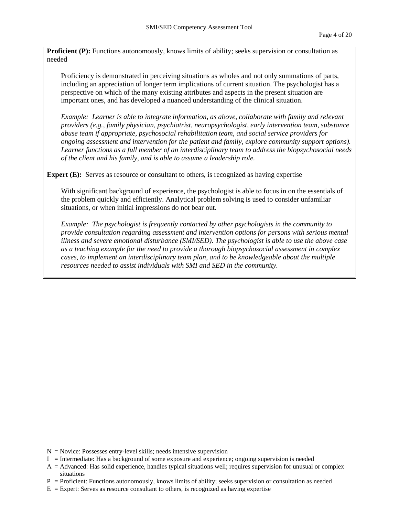**Proficient (P):** Functions autonomously, knows limits of ability; seeks supervision or consultation as needed

Proficiency is demonstrated in perceiving situations as wholes and not only summations of parts, including an appreciation of longer term implications of current situation. The psychologist has a perspective on which of the many existing attributes and aspects in the present situation are important ones, and has developed a nuanced understanding of the clinical situation.

*Example: Learner is able to integrate information, as above, collaborate with family and relevant providers (e.g., family physician, psychiatrist, neuropsychologist, early intervention team, substance abuse team if appropriate, psychosocial rehabilitation team, and social service providers for ongoing assessment and intervention for the patient and family, explore community support options). Learner functions as a full member of an interdisciplinary team to address the biopsychosocial needs of the client and his family, and is able to assume a leadership role.* 

**Expert (E):** Serves as resource or consultant to others, is recognized as having expertise

With significant background of experience, the psychologist is able to focus in on the essentials of the problem quickly and efficiently. Analytical problem solving is used to consider unfamiliar situations, or when initial impressions do not bear out.

*Example: The psychologist is frequently contacted by other psychologists in the community to provide consultation regarding assessment and intervention options for persons with serious mental illness and severe emotional disturbance (SMI/SED). The psychologist is able to use the above case as a teaching example for the need to provide a thorough biopsychosocial assessment in complex cases, to implement an interdisciplinary team plan, and to be knowledgeable about the multiple resources needed to assist individuals with SMI and SED in the community.*

- $N = \text{Novice: Possesses entry-level skills; needs intensive supervision}$
- $I =$  Intermediate: Has a background of some exposure and experience; ongoing supervision is needed
- A = Advanced: Has solid experience, handles typical situations well; requires supervision for unusual or complex situations
- $P =$  Proficient: Functions autonomously, knows limits of ability; seeks supervision or consultation as needed
- $E =$  Expert: Serves as resource consultant to others, is recognized as having expertise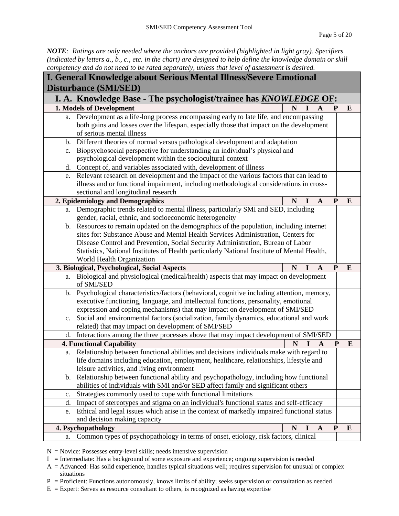*NOTE: Ratings are only needed where the anchors are provided (highlighted in light gray). Specifiers (indicated by letters a., b., c., etc. in the chart) are designed to help define the knowledge domain or skill competency and do not need to be rated separately, unless that level of assessment is desired.* 

| <b>I. General Knowledge about Serious Mental Illness/Severe Emotional</b> |                                                                                                    |   |   |              |              |          |  |  |
|---------------------------------------------------------------------------|----------------------------------------------------------------------------------------------------|---|---|--------------|--------------|----------|--|--|
| <b>Disturbance (SMI/SED)</b>                                              |                                                                                                    |   |   |              |              |          |  |  |
|                                                                           | I. A. Knowledge Base - The psychologist/trainee has <b>KNOWLEDGE OF</b> :                          |   |   |              |              |          |  |  |
|                                                                           | 1. Models of Development                                                                           | N |   | A            | P            | E        |  |  |
| a.                                                                        | Development as a life-long process encompassing early to late life, and encompassing               |   |   |              |              |          |  |  |
|                                                                           | both gains and losses over the lifespan, especially those that impact on the development           |   |   |              |              |          |  |  |
|                                                                           | of serious mental illness                                                                          |   |   |              |              |          |  |  |
| $\mathbf{b}$ .                                                            | Different theories of normal versus pathological development and adaptation                        |   |   |              |              |          |  |  |
| $\mathbf{c}$ .                                                            | Biopsychosocial perspective for understanding an individual's physical and                         |   |   |              |              |          |  |  |
|                                                                           | psychological development within the sociocultural context                                         |   |   |              |              |          |  |  |
| d.                                                                        | Concept of, and variables associated with, development of illness                                  |   |   |              |              |          |  |  |
| e.                                                                        | Relevant research on development and the impact of the various factors that can lead to            |   |   |              |              |          |  |  |
|                                                                           | illness and or functional impairment, including methodological considerations in cross-            |   |   |              |              |          |  |  |
|                                                                           | sectional and longitudinal research                                                                |   |   |              |              |          |  |  |
|                                                                           | 2. Epidemiology and Demographics                                                                   | N |   | $\mathbf{A}$ | $\mathbf{P}$ | E        |  |  |
| a.                                                                        | Demographic trends related to mental illness, particularly SMI and SED, including                  |   |   |              |              |          |  |  |
|                                                                           | gender, racial, ethnic, and socioeconomic heterogeneity                                            |   |   |              |              |          |  |  |
| $\mathbf{b}$ .                                                            | Resources to remain updated on the demographics of the population, including internet              |   |   |              |              |          |  |  |
|                                                                           | sites for: Substance Abuse and Mental Health Services Administration, Centers for                  |   |   |              |              |          |  |  |
|                                                                           | Disease Control and Prevention, Social Security Administration, Bureau of Labor                    |   |   |              |              |          |  |  |
|                                                                           | Statistics, National Institutes of Health particularly National Institute of Mental Health,        |   |   |              |              |          |  |  |
|                                                                           | World Health Organization                                                                          |   |   |              |              |          |  |  |
|                                                                           | 3. Biological, Psychological, Social Aspects                                                       | N |   | A            | P            | E        |  |  |
| a.                                                                        | Biological and physiological (medical/health) aspects that may impact on development<br>of SMI/SED |   |   |              |              |          |  |  |
| b.                                                                        | Psychological characteristics/factors (behavioral, cognitive including attention, memory,          |   |   |              |              |          |  |  |
|                                                                           | executive functioning, language, and intellectual functions, personality, emotional                |   |   |              |              |          |  |  |
|                                                                           | expression and coping mechanisms) that may impact on development of SMI/SED                        |   |   |              |              |          |  |  |
| $c_{\cdot}$                                                               | Social and environmental factors (socialization, family dynamics, educational and work             |   |   |              |              |          |  |  |
|                                                                           | related) that may impact on development of SMI/SED                                                 |   |   |              |              |          |  |  |
| d.                                                                        | Interactions among the three processes above that may impact development of SMI/SED                |   |   |              |              |          |  |  |
|                                                                           | <b>4. Functional Capability</b>                                                                    | N | I | $\mathbf A$  | ${\bf P}$    | $\bf{E}$ |  |  |
| a.                                                                        | Relationship between functional abilities and decisions individuals make with regard to            |   |   |              |              |          |  |  |
|                                                                           | life domains including education, employment, healthcare, relationships, lifestyle and             |   |   |              |              |          |  |  |
|                                                                           | leisure activities, and living environment                                                         |   |   |              |              |          |  |  |
| $\mathbf{b}$ .                                                            | Relationship between functional ability and psychopathology, including how functional              |   |   |              |              |          |  |  |
|                                                                           | abilities of individuals with SMI and/or SED affect family and significant others                  |   |   |              |              |          |  |  |
| c.                                                                        | Strategies commonly used to cope with functional limitations                                       |   |   |              |              |          |  |  |
| d.                                                                        | Impact of stereotypes and stigma on an individual's functional status and self-efficacy            |   |   |              |              |          |  |  |
| e.                                                                        | Ethical and legal issues which arise in the context of markedly impaired functional status         |   |   |              |              |          |  |  |
|                                                                           | and decision making capacity                                                                       |   |   |              |              |          |  |  |
|                                                                           | 4. Psychopathology                                                                                 | N |   | $\mathbf{A}$ | ${\bf P}$    | E        |  |  |
| a.                                                                        | Common types of psychopathology in terms of onset, etiology, risk factors, clinical                |   |   |              |              |          |  |  |

 $N =$  Novice: Possesses entry-level skills; needs intensive supervision

- I = Intermediate: Has a background of some exposure and experience; ongoing supervision is needed
- A = Advanced: Has solid experience, handles typical situations well; requires supervision for unusual or complex situations
- $P =$  Proficient: Functions autonomously, knows limits of ability; seeks supervision or consultation as needed
- $E =$  Expert: Serves as resource consultant to others, is recognized as having expertise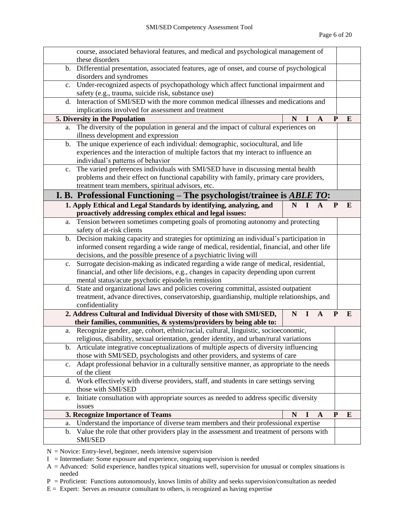|    | course, associated behavioral features, and medical and psychological management of                                      |   |                              |              |          |
|----|--------------------------------------------------------------------------------------------------------------------------|---|------------------------------|--------------|----------|
|    | these disorders                                                                                                          |   |                              |              |          |
|    | b. Differential presentation, associated features, age of onset, and course of psychological<br>disorders and syndromes  |   |                              |              |          |
|    | c. Under-recognized aspects of psychopathology which affect functional impairment and                                    |   |                              |              |          |
|    | safety (e.g., trauma, suicide risk, substance use)                                                                       |   |                              |              |          |
|    | d. Interaction of SMI/SED with the more common medical illnesses and medications and                                     |   |                              |              |          |
|    | implications involved for assessment and treatment                                                                       |   |                              |              |          |
|    | 5. Diversity in the Population                                                                                           | N | $\mathbf{A}$                 | P            | E        |
| a. | The diversity of the population in general and the impact of cultural experiences on                                     |   |                              |              |          |
|    | illness development and expression                                                                                       |   |                              |              |          |
| b. | The unique experience of each individual: demographic, sociocultural, and life                                           |   |                              |              |          |
|    | experiences and the interaction of multiple factors that my interact to influence an                                     |   |                              |              |          |
|    | individual's patterns of behavior<br>c. The varied preferences individuals with SMI/SED have in discussing mental health |   |                              |              |          |
|    | problems and their effect on functional capability with family, primary care providers,                                  |   |                              |              |          |
|    | treatment team members, spiritual advisors, etc.                                                                         |   |                              |              |          |
|    | I. B. Professional Functioning – The psychologist/trainee is $\triangle BLE$ TO:                                         |   |                              |              |          |
|    | 1. Apply Ethical and Legal Standards by identifying, analyzing, and                                                      | N | $\mathbf{I}$<br>$\mathbf{A}$ | $\mathbf{P}$ | $\bf{E}$ |
|    | proactively addressing complex ethical and legal issues:                                                                 |   |                              |              |          |
| a. | Tension between sometimes competing goals of promoting autonomy and protecting                                           |   |                              |              |          |
|    | safety of at-risk clients                                                                                                |   |                              |              |          |
| b. | Decision making capacity and strategies for optimizing an individual's participation in                                  |   |                              |              |          |
|    | informed consent regarding a wide range of medical, residential, financial, and other life                               |   |                              |              |          |
|    | decisions, and the possible presence of a psychiatric living will                                                        |   |                              |              |          |
|    | c. Surrogate decision-making as indicated regarding a wide range of medical, residential,                                |   |                              |              |          |
|    | financial, and other life decisions, e.g., changes in capacity depending upon current                                    |   |                              |              |          |
|    | mental status/acute psychotic episode/in remission                                                                       |   |                              |              |          |
|    | d. State and organizational laws and policies covering committal, assisted outpatient                                    |   |                              |              |          |
|    | treatment, advance directives, conservatorship, guardianship, multiple relationships, and                                |   |                              |              |          |
|    | confidentiality<br>2. Address Cultural and Individual Diversity of those with SMI/SED,                                   | N | $\mathbf{A}$                 | $\mathbf{P}$ | E        |
|    | their families, communities, & systems/providers by being able to:                                                       |   | I                            |              |          |
|    | a. Recognize gender, age, cohort, ethnic/racial, cultural, linguistic, socioeconomic,                                    |   |                              |              |          |
|    | religious, disability, sexual orientation, gender identity, and urban/rural variations                                   |   |                              |              |          |
|    | b. Articulate integrative conceptualizations of multiple aspects of diversity influencing                                |   |                              |              |          |
|    | those with SMI/SED, psychologists and other providers, and systems of care                                               |   |                              |              |          |
|    | c. Adapt professional behavior in a culturally sensitive manner, as appropriate to the needs                             |   |                              |              |          |
|    | of the client                                                                                                            |   |                              |              |          |
|    | d. Work effectively with diverse providers, staff, and students in care settings serving                                 |   |                              |              |          |
|    | those with SMI/SED                                                                                                       |   |                              |              |          |
| e. | Initiate consultation with appropriate sources as needed to address specific diversity                                   |   |                              |              |          |
|    | issues                                                                                                                   |   |                              |              |          |
|    | 3. Recognize Importance of Teams                                                                                         | N | $\mathbf{A}$<br>$\bf{l}$     | ${\bf P}$    | E        |
| a. | Understand the importance of diverse team members and their professional expertise                                       |   |                              |              |          |
| b. | Value the role that other providers play in the assessment and treatment of persons with                                 |   |                              |              |          |
|    | SMI/SED                                                                                                                  |   |                              |              |          |

- $N =$  Novice: Entry-level, beginner, needs intensive supervision
- $I =$  Intermediate: Some exposure and experience, ongoing supervision is needed
- A = Advanced: Solid experience, handles typical situations well, supervision for unusual or complex situations is needed

P = Proficient: Functions autonomously, knows limits of ability and seeks supervision/consultation as needed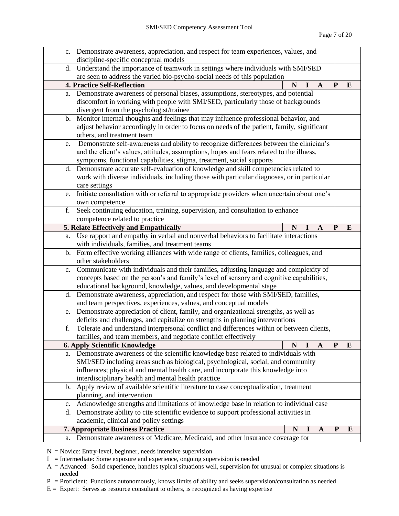|                | c. Demonstrate awareness, appreciation, and respect for team experiences, values, and      |   |   |              |              |   |  |
|----------------|--------------------------------------------------------------------------------------------|---|---|--------------|--------------|---|--|
|                | discipline-specific conceptual models                                                      |   |   |              |              |   |  |
|                | d. Understand the importance of teamwork in settings where individuals with SMI/SED        |   |   |              |              |   |  |
|                | are seen to address the varied bio-psycho-social needs of this population                  |   |   |              |              |   |  |
|                | <b>4. Practice Self-Reflection</b>                                                         | N | I | $\mathbf{A}$ | $\mathbf{P}$ | E |  |
| a.             | Demonstrate awareness of personal biases, assumptions, stereotypes, and potential          |   |   |              |              |   |  |
|                | discomfort in working with people with SMI/SED, particularly those of backgrounds          |   |   |              |              |   |  |
|                | divergent from the psychologist/trainee                                                    |   |   |              |              |   |  |
| $\mathbf{b}$ . | Monitor internal thoughts and feelings that may influence professional behavior, and       |   |   |              |              |   |  |
|                | adjust behavior accordingly in order to focus on needs of the patient, family, significant |   |   |              |              |   |  |
|                | others, and treatment team                                                                 |   |   |              |              |   |  |
| e.             | Demonstrate self-awareness and ability to recognize differences between the clinician's    |   |   |              |              |   |  |
|                | and the client's values, attitudes, assumptions, hopes and fears related to the illness,   |   |   |              |              |   |  |
|                | symptoms, functional capabilities, stigma, treatment, social supports                      |   |   |              |              |   |  |
| d.             | Demonstrate accurate self-evaluation of knowledge and skill competencies related to        |   |   |              |              |   |  |
|                | work with diverse individuals, including those with particular diagnoses, or in particular |   |   |              |              |   |  |
|                | care settings                                                                              |   |   |              |              |   |  |
| e.             | Initiate consultation with or referral to appropriate providers when uncertain about one's |   |   |              |              |   |  |
|                | own competence                                                                             |   |   |              |              |   |  |
| f.             | Seek continuing education, training, supervision, and consultation to enhance              |   |   |              |              |   |  |
|                | competence related to practice                                                             |   |   |              |              |   |  |
|                | 5. Relate Effectively and Empathically                                                     | N |   | A            | P            | E |  |
| a.             | Use rapport and empathy in verbal and nonverbal behaviors to facilitate interactions       |   |   |              |              |   |  |
|                | with individuals, families, and treatment teams                                            |   |   |              |              |   |  |
| b.             | Form effective working alliances with wide range of clients, families, colleagues, and     |   |   |              |              |   |  |
|                | other stakeholders                                                                         |   |   |              |              |   |  |
| $\mathbf{c}$ . | Communicate with individuals and their families, adjusting language and complexity of      |   |   |              |              |   |  |
|                | concepts based on the person's and family's level of sensory and cognitive capabilities,   |   |   |              |              |   |  |
|                | educational background, knowledge, values, and developmental stage                         |   |   |              |              |   |  |
|                | d. Demonstrate awareness, appreciation, and respect for those with SMI/SED, families,      |   |   |              |              |   |  |
|                | and team perspectives, experiences, values, and conceptual models                          |   |   |              |              |   |  |
|                | e. Demonstrate appreciation of client, family, and organizational strengths, as well as    |   |   |              |              |   |  |
|                | deficits and challenges, and capitalize on strengths in planning interventions             |   |   |              |              |   |  |
| f.             | Tolerate and understand interpersonal conflict and differences within or between clients,  |   |   |              |              |   |  |
|                | families, and team members, and negotiate conflict effectively                             |   |   |              |              |   |  |
|                | <b>6. Apply Scientific Knowledge</b>                                                       | N | I | $\mathbf{A}$ | ${\bf P}$    | E |  |
|                | a. Demonstrate awareness of the scientific knowledge base related to individuals with      |   |   |              |              |   |  |
|                | SMI/SED including areas such as biological, psychological, social, and community           |   |   |              |              |   |  |
|                | influences; physical and mental health care, and incorporate this knowledge into           |   |   |              |              |   |  |
|                | interdisciplinary health and mental health practice                                        |   |   |              |              |   |  |
| b.             | Apply review of available scientific literature to case conceptualization, treatment       |   |   |              |              |   |  |
|                | planning, and intervention                                                                 |   |   |              |              |   |  |
| c.             | Acknowledge strengths and limitations of knowledge base in relation to individual case     |   |   |              |              |   |  |
| d.             | Demonstrate ability to cite scientific evidence to support professional activities in      |   |   |              |              |   |  |
|                | academic, clinical and policy settings                                                     |   |   |              |              |   |  |
|                | <b>7. Appropriate Business Practice</b>                                                    | N | I | $\mathbf A$  | ${\bf P}$    | E |  |
| a.             | Demonstrate awareness of Medicare, Medicaid, and other insurance coverage for              |   |   |              |              |   |  |

 $N =$  Novice: Entry-level, beginner, needs intensive supervision

 $I =$  Intermediate: Some exposure and experience, ongoing supervision is needed

A = Advanced: Solid experience, handles typical situations well, supervision for unusual or complex situations is needed

P = Proficient: Functions autonomously, knows limits of ability and seeks supervision/consultation as needed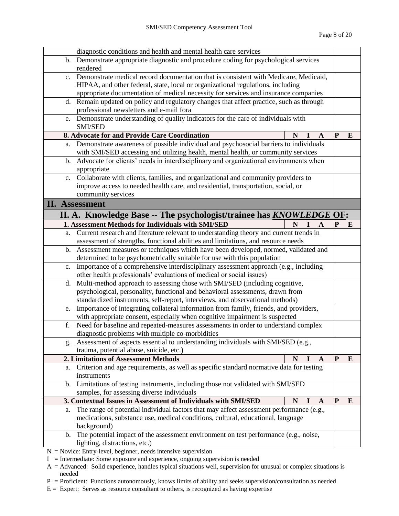|                | diagnostic conditions and health and mental health care services                         |   |          |              |           |   |
|----------------|------------------------------------------------------------------------------------------|---|----------|--------------|-----------|---|
|                | b. Demonstrate appropriate diagnostic and procedure coding for psychological services    |   |          |              |           |   |
|                | rendered                                                                                 |   |          |              |           |   |
| $c_{\cdot}$    | Demonstrate medical record documentation that is consistent with Medicare, Medicaid,     |   |          |              |           |   |
|                | HIPAA, and other federal, state, local or organizational regulations, including          |   |          |              |           |   |
|                | appropriate documentation of medical necessity for services and insurance companies      |   |          |              |           |   |
|                | d. Remain updated on policy and regulatory changes that affect practice, such as through |   |          |              |           |   |
|                | professional newsletters and e-mail fora                                                 |   |          |              |           |   |
| e.             | Demonstrate understanding of quality indicators for the care of individuals with         |   |          |              |           |   |
|                | <b>SMI/SED</b>                                                                           |   |          |              |           |   |
|                | 8. Advocate for and Provide Care Coordination                                            | N |          | A            | P         | E |
| a.             | Demonstrate awareness of possible individual and psychosocial barriers to individuals    |   |          |              |           |   |
|                | with SMI/SED accessing and utilizing health, mental health, or community services        |   |          |              |           |   |
| b.             | Advocate for clients' needs in interdisciplinary and organizational environments when    |   |          |              |           |   |
|                | appropriate                                                                              |   |          |              |           |   |
|                | c. Collaborate with clients, families, and organizational and community providers to     |   |          |              |           |   |
|                | improve access to needed health care, and residential, transportation, social, or        |   |          |              |           |   |
|                | community services                                                                       |   |          |              |           |   |
|                | <b>II.</b> Assessment                                                                    |   |          |              |           |   |
|                | II. A. Knowledge Base -- The psychologist/trainee has <b>KNOWLEDGE OF</b> :              |   |          |              |           |   |
|                | 1. Assessment Methods for Individuals with SMI/SED                                       | N |          | $\mathbf{A}$ | P         | E |
| a.             | Current research and literature relevant to understanding theory and current trends in   |   |          |              |           |   |
|                | assessment of strengths, functional abilities and limitations, and resource needs        |   |          |              |           |   |
|                | b. Assessment measures or techniques which have been developed, normed, validated and    |   |          |              |           |   |
|                | determined to be psychometrically suitable for use with this population                  |   |          |              |           |   |
| $\mathbf{c}$ . | Importance of a comprehensive interdisciplinary assessment approach (e.g., including     |   |          |              |           |   |
|                | other health professionals' evaluations of medical or social issues)                     |   |          |              |           |   |
| d.             | Multi-method approach to assessing those with SMI/SED (including cognitive,              |   |          |              |           |   |
|                | psychological, personality, functional and behavioral assessments, drawn from            |   |          |              |           |   |
|                | standardized instruments, self-report, interviews, and observational methods)            |   |          |              |           |   |
| e.             | Importance of integrating collateral information from family, friends, and providers,    |   |          |              |           |   |
|                | with appropriate consent, especially when cognitive impairment is suspected              |   |          |              |           |   |
| f.             | Need for baseline and repeated-measures assessments in order to understand complex       |   |          |              |           |   |
|                | diagnostic problems with multiple co-morbidities                                         |   |          |              |           |   |
| g.             | Assessment of aspects essential to understanding individuals with SMI/SED (e.g.,         |   |          |              |           |   |
|                | trauma, potential abuse, suicide, etc.)                                                  |   |          |              |           |   |
|                | 2. Limitations of Assessment Methods                                                     | N | $\bf{l}$ | A            | P         | E |
| a.             | Criterion and age requirements, as well as specific standard normative data for testing  |   |          |              |           |   |
|                | instruments                                                                              |   |          |              |           |   |
|                | b. Limitations of testing instruments, including those not validated with SMI/SED        |   |          |              |           |   |
|                | samples, for assessing diverse individuals                                               |   |          |              |           |   |
|                | 3. Contextual Issues in Assessment of Individuals with SMI/SED                           | N |          | A            | ${\bf P}$ | E |
| a.             | The range of potential individual factors that may affect assessment performance (e.g.,  |   |          |              |           |   |
|                | medications, substance use, medical conditions, cultural, educational, language          |   |          |              |           |   |
|                | background)                                                                              |   |          |              |           |   |
| b.             | The potential impact of the assessment environment on test performance (e.g., noise,     |   |          |              |           |   |
|                | lighting, distractions, etc.)                                                            |   |          |              |           |   |
|                | $N =$ Novice: Entry-level, beginner, needs intensive supervision                         |   |          |              |           |   |

 $I =$  Intermediate: Some exposure and experience, ongoing supervision is needed

A = Advanced: Solid experience, handles typical situations well, supervision for unusual or complex situations is needed

 $P =$  Proficient: Functions autonomously, knows limits of ability and seeks supervision/consultation as needed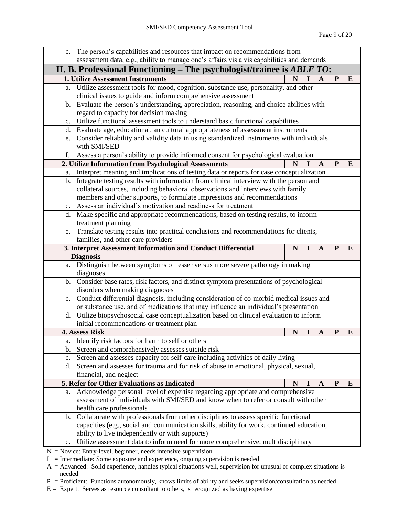|                | c. The person's capabilities and resources that impact on recommendations from                                                     |   |              |              |           |          |
|----------------|------------------------------------------------------------------------------------------------------------------------------------|---|--------------|--------------|-----------|----------|
|                | assessment data, e.g., ability to manage one's affairs vis a vis capabilities and demands                                          |   |              |              |           |          |
|                | II. B. Professional Functioning – The psychologist/trainee is $\triangle BLE$ TO:                                                  |   |              |              |           |          |
|                | <b>1. Utilize Assessment Instruments</b>                                                                                           | N | $I \ A$      |              | P         | E        |
|                | a. Utilize assessment tools for mood, cognition, substance use, personality, and other                                             |   |              |              |           |          |
|                | clinical issues to guide and inform comprehensive assessment                                                                       |   |              |              |           |          |
| b.             | Evaluate the person's understanding, appreciation, reasoning, and choice abilities with                                            |   |              |              |           |          |
|                | regard to capacity for decision making                                                                                             |   |              |              |           |          |
| c.             | Utilize functional assessment tools to understand basic functional capabilities                                                    |   |              |              |           |          |
| d.             | Evaluate age, educational, an cultural appropriateness of assessment instruments                                                   |   |              |              |           |          |
|                | e. Consider reliability and validity data in using standardized instruments with individuals                                       |   |              |              |           |          |
|                | with SMI/SED                                                                                                                       |   |              |              |           |          |
| f.             | Assess a person's ability to provide informed consent for psychological evaluation                                                 |   |              |              |           |          |
|                | 2. Utilize Information from Psychological Assessments                                                                              | N |              | A            | P         | E        |
| a.             | Interpret meaning and implications of testing data or reports for case conceptualization                                           |   |              |              |           |          |
| $b_{\cdot}$    | Integrate testing results with information from clinical interview with the person and                                             |   |              |              |           |          |
|                | collateral sources, including behavioral observations and interviews with family                                                   |   |              |              |           |          |
|                | members and other supports, to formulate impressions and recommendations                                                           |   |              |              |           |          |
|                | c. Assess an individual's motivation and readiness for treatment                                                                   |   |              |              |           |          |
| d.             | Make specific and appropriate recommendations, based on testing results, to inform                                                 |   |              |              |           |          |
|                | treatment planning                                                                                                                 |   |              |              |           |          |
| e.             | Translate testing results into practical conclusions and recommendations for clients,                                              |   |              |              |           |          |
|                | families, and other care providers                                                                                                 |   |              |              |           |          |
|                | 3. Interpret Assessment Information and Conduct Differential                                                                       | N | $\mathbf{I}$ | $\mathbf{A}$ | P         | E        |
|                | <b>Diagnosis</b>                                                                                                                   |   |              |              |           |          |
|                | a. Distinguish between symptoms of lesser versus more severe pathology in making                                                   |   |              |              |           |          |
|                | diagnoses                                                                                                                          |   |              |              |           |          |
|                | b. Consider base rates, risk factors, and distinct symptom presentations of psychological                                          |   |              |              |           |          |
|                | disorders when making diagnoses                                                                                                    |   |              |              |           |          |
|                | c. Conduct differential diagnosis, including consideration of co-morbid medical issues and                                         |   |              |              |           |          |
|                | or substance use, and of medications that may influence an individual's presentation                                               |   |              |              |           |          |
| d.             | Utilize biopsychosocial case conceptualization based on clinical evaluation to inform<br>initial recommendations or treatment plan |   |              |              |           |          |
|                | 4. Assess Risk                                                                                                                     |   |              |              |           |          |
|                | Identify risk factors for harm to self or others                                                                                   | N | 1            | A            | P         | E        |
| a.<br>b.       | Screen and comprehensively assesses suicide risk                                                                                   |   |              |              |           |          |
| c.             | Screen and assesses capacity for self-care including activities of daily living                                                    |   |              |              |           |          |
| d.             | Screen and assesses for trauma and for risk of abuse in emotional, physical, sexual,                                               |   |              |              |           |          |
|                | financial, and neglect                                                                                                             |   |              |              |           |          |
|                | 5. Refer for Other Evaluations as Indicated                                                                                        | N | $\bf{l}$     | A            | ${\bf P}$ | $\bf{E}$ |
| a.             | Acknowledge personal level of expertise regarding appropriate and comprehensive                                                    |   |              |              |           |          |
|                | assessment of individuals with SMI/SED and know when to refer or consult with other                                                |   |              |              |           |          |
|                | health care professionals                                                                                                          |   |              |              |           |          |
| b.             | Collaborate with professionals from other disciplines to assess specific functional                                                |   |              |              |           |          |
|                | capacities (e.g., social and communication skills, ability for work, continued education,                                          |   |              |              |           |          |
|                | ability to live independently or with supports)                                                                                    |   |              |              |           |          |
| $\mathbf{c}$ . | Utilize assessment data to inform need for more comprehensive, multidisciplinary                                                   |   |              |              |           |          |
|                | $N =$ Novice: Entry-level, beginner, needs intensive supervision                                                                   |   |              |              |           |          |

 $I =$  Intermediate: Some exposure and experience, ongoing supervision is needed

A = Advanced: Solid experience, handles typical situations well, supervision for unusual or complex situations is needed

 $P =$  Proficient: Functions autonomously, knows limits of ability and seeks supervision/consultation as needed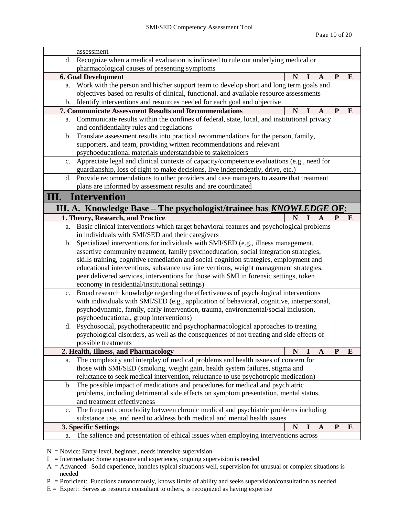| assessment                                                                                      |                                                                                                                                                                              |   |             |              |              |   |  |
|-------------------------------------------------------------------------------------------------|------------------------------------------------------------------------------------------------------------------------------------------------------------------------------|---|-------------|--------------|--------------|---|--|
| d.                                                                                              | Recognize when a medical evaluation is indicated to rule out underlying medical or                                                                                           |   |             |              |              |   |  |
|                                                                                                 | pharmacological causes of presenting symptoms                                                                                                                                |   |             |              |              |   |  |
|                                                                                                 | <b>6. Goal Development</b>                                                                                                                                                   | N | I           | $\mathbf{A}$ | $\mathbf{P}$ | E |  |
| a.                                                                                              | Work with the person and his/her support team to develop short and long term goals and                                                                                       |   |             |              |              |   |  |
|                                                                                                 | objectives based on results of clinical, functional, and available resource assessments                                                                                      |   |             |              |              |   |  |
| b.                                                                                              | Identify interventions and resources needed for each goal and objective                                                                                                      |   |             |              |              |   |  |
|                                                                                                 | <b>7. Communicate Assessment Results and Recommendations</b>                                                                                                                 | N | I           | A            | P            | E |  |
| a.                                                                                              | Communicate results within the confines of federal, state, local, and institutional privacy                                                                                  |   |             |              |              |   |  |
|                                                                                                 | and confidentiality rules and regulations                                                                                                                                    |   |             |              |              |   |  |
| b.                                                                                              | Translate assessment results into practical recommendations for the person, family,                                                                                          |   |             |              |              |   |  |
|                                                                                                 | supporters, and team, providing written recommendations and relevant                                                                                                         |   |             |              |              |   |  |
|                                                                                                 | psychoeducational materials understandable to stakeholders                                                                                                                   |   |             |              |              |   |  |
| Appreciate legal and clinical contexts of capacity/competence evaluations (e.g., need for<br>c. |                                                                                                                                                                              |   |             |              |              |   |  |
| guardianship, loss of right to make decisions, live independently, drive, etc.)                 |                                                                                                                                                                              |   |             |              |              |   |  |
|                                                                                                 | d. Provide recommendations to other providers and case managers to assure that treatment                                                                                     |   |             |              |              |   |  |
|                                                                                                 | plans are informed by assessment results and are coordinated                                                                                                                 |   |             |              |              |   |  |
| <b>Intervention</b><br>Ш.                                                                       |                                                                                                                                                                              |   |             |              |              |   |  |
|                                                                                                 | III. A. Knowledge Base - The psychologist/trainee has <b>KNOWLEDGE OF</b> :                                                                                                  |   |             |              |              |   |  |
|                                                                                                 | 1. Theory, Research, and Practice                                                                                                                                            | N | $\mathbf I$ | $\mathbf{A}$ | P            | E |  |
| a.                                                                                              | Basic clinical interventions which target behavioral features and psychological problems                                                                                     |   |             |              |              |   |  |
|                                                                                                 | in individuals with SMI/SED and their caregivers                                                                                                                             |   |             |              |              |   |  |
| b.                                                                                              | Specialized interventions for individuals with SMI/SED (e.g., illness management,                                                                                            |   |             |              |              |   |  |
|                                                                                                 | assertive community treatment, family psychoeducation, social integration strategies,                                                                                        |   |             |              |              |   |  |
|                                                                                                 | skills training, cognitive remediation and social cognition strategies, employment and                                                                                       |   |             |              |              |   |  |
|                                                                                                 | educational interventions, substance use interventions, weight management strategies,                                                                                        |   |             |              |              |   |  |
|                                                                                                 | peer delivered services, interventions for those with SMI in forensic settings, token                                                                                        |   |             |              |              |   |  |
|                                                                                                 | economy in residential/institutional settings)                                                                                                                               |   |             |              |              |   |  |
| $\mathbf{c}$ .                                                                                  | Broad research knowledge regarding the effectiveness of psychological interventions                                                                                          |   |             |              |              |   |  |
|                                                                                                 | with individuals with SMI/SED (e.g., application of behavioral, cognitive, interpersonal,                                                                                    |   |             |              |              |   |  |
|                                                                                                 | psychodynamic, family, early intervention, trauma, environmental/social inclusion,                                                                                           |   |             |              |              |   |  |
|                                                                                                 | psychoeducational, group interventions)                                                                                                                                      |   |             |              |              |   |  |
| d.                                                                                              | Psychosocial, psychotherapeutic and psychopharmacological approaches to treating<br>psychological disorders, as well as the consequences of not treating and side effects of |   |             |              |              |   |  |
|                                                                                                 | possible treatments                                                                                                                                                          |   |             |              |              |   |  |
|                                                                                                 | 2. Health, Illness, and Pharmacology                                                                                                                                         | N |             | $\mathbf{A}$ | P            | E |  |
| a.                                                                                              | The complexity and interplay of medical problems and health issues of concern for                                                                                            |   |             |              |              |   |  |
|                                                                                                 | those with SMI/SED (smoking, weight gain, health system failures, stigma and                                                                                                 |   |             |              |              |   |  |
|                                                                                                 | reluctance to seek medical intervention, reluctance to use psychotropic medication)                                                                                          |   |             |              |              |   |  |
| b.                                                                                              | The possible impact of medications and procedures for medical and psychiatric                                                                                                |   |             |              |              |   |  |
|                                                                                                 | problems, including detrimental side effects on symptom presentation, mental status,                                                                                         |   |             |              |              |   |  |
|                                                                                                 | and treatment effectiveness                                                                                                                                                  |   |             |              |              |   |  |
| $\mathbf{c}$ .                                                                                  | The frequent comorbidity between chronic medical and psychiatric problems including                                                                                          |   |             |              |              |   |  |
|                                                                                                 | substance use, and need to address both medical and mental health issues                                                                                                     |   |             |              |              |   |  |
|                                                                                                 | 3. Specific Settings                                                                                                                                                         | N |             | $\mathbf{A}$ | P            | E |  |
| a.                                                                                              | The salience and presentation of ethical issues when employing interventions across                                                                                          |   |             |              |              |   |  |

- $N =$  Novice: Entry-level, beginner, needs intensive supervision
- $I =$  Intermediate: Some exposure and experience, ongoing supervision is needed
- A = Advanced: Solid experience, handles typical situations well, supervision for unusual or complex situations is needed
- P = Proficient: Functions autonomously, knows limits of ability and seeks supervision/consultation as needed
- $E =$  Expert: Serves as resource consultant to others, is recognized as having expertise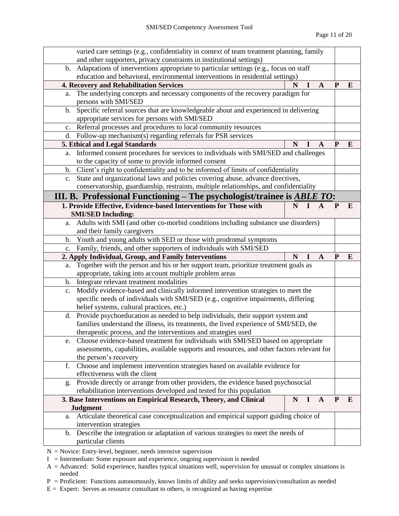|                                                                                        | varied care settings (e.g., confidentiality in context of team treatment planning, family                   |   |          |              |              |   |  |
|----------------------------------------------------------------------------------------|-------------------------------------------------------------------------------------------------------------|---|----------|--------------|--------------|---|--|
|                                                                                        | and other supporters, privacy constraints in institutional settings)                                        |   |          |              |              |   |  |
|                                                                                        | b. Adaptations of interventions appropriate to particular settings (e.g., focus on staff                    |   |          |              |              |   |  |
|                                                                                        | education and behavioral, environmental interventions in residential settings)                              |   |          |              |              |   |  |
|                                                                                        | 4. Recovery and Rehabilitation Services                                                                     | N | I        | $\mathbf{A}$ | $\mathbf{P}$ | E |  |
| a.                                                                                     | The underlying concepts and necessary components of the recovery paradigm for<br>persons with SMI/SED       |   |          |              |              |   |  |
| $\mathbf{b}$ .                                                                         | Specific referral sources that are knowledgeable about and experienced in delivering                        |   |          |              |              |   |  |
|                                                                                        | appropriate services for persons with SMI/SED                                                               |   |          |              |              |   |  |
| c.                                                                                     | Referral processes and procedures to local community resources                                              |   |          |              |              |   |  |
|                                                                                        | d. Follow-up mechanism(s) regarding referrals for PSR services                                              |   |          |              |              |   |  |
|                                                                                        | 5. Ethical and Legal Standards                                                                              | N |          | A            | P            | E |  |
| a.                                                                                     | Informed consent procedures for services to individuals with SMI/SED and challenges                         |   |          |              |              |   |  |
|                                                                                        | to the capacity of some to provide informed consent                                                         |   |          |              |              |   |  |
|                                                                                        | b. Client's right to confidentiality and to be informed of limits of confidentiality                        |   |          |              |              |   |  |
|                                                                                        | c. State and organizational laws and policies covering abuse, advance directives,                           |   |          |              |              |   |  |
| conservatorship, guardianship, restraints, multiple relationships, and confidentiality |                                                                                                             |   |          |              |              |   |  |
| III. B. Professional Functioning – The psychologist/trainee is <b>ABLE TO</b> :        |                                                                                                             |   |          |              |              |   |  |
|                                                                                        | 1. Provide Effective, Evidence-based Interventions for Those with                                           | N | Т.       | A            | P            | E |  |
|                                                                                        | <b>SMI/SED Including:</b>                                                                                   |   |          |              |              |   |  |
| a.                                                                                     | Adults with SMI (and other co-morbid conditions including substance use disorders)                          |   |          |              |              |   |  |
|                                                                                        | and their family caregivers                                                                                 |   |          |              |              |   |  |
| b.                                                                                     | Youth and young adults with SED or those with prodromal symptoms                                            |   |          |              |              |   |  |
| Family, friends, and other supporters of individuals with SMI/SED<br>c.                |                                                                                                             |   |          |              |              |   |  |
|                                                                                        |                                                                                                             |   |          |              |              |   |  |
|                                                                                        | 2. Apply Individual, Group, and Family Interventions                                                        | N | ш        | A            | P            | E |  |
| a.                                                                                     | Together with the person and his or her support team, prioritize treatment goals as                         |   |          |              |              |   |  |
|                                                                                        | appropriate, taking into account multiple problem areas                                                     |   |          |              |              |   |  |
| b.                                                                                     | Integrate relevant treatment modalities                                                                     |   |          |              |              |   |  |
| c.                                                                                     | Modify evidence-based and clinically informed intervention strategies to meet the                           |   |          |              |              |   |  |
|                                                                                        | specific needs of individuals with SMI/SED (e.g., cognitive impairments, differing                          |   |          |              |              |   |  |
|                                                                                        | belief systems, cultural practices, etc.)                                                                   |   |          |              |              |   |  |
| d.                                                                                     | Provide psychoeducation as needed to help individuals, their support system and                             |   |          |              |              |   |  |
|                                                                                        | families understand the illness, its treatments, the lived experience of SMI/SED, the                       |   |          |              |              |   |  |
|                                                                                        | therapeutic process, and the interventions and strategies used                                              |   |          |              |              |   |  |
| e.                                                                                     | Choose evidence-based treatment for individuals with SMI/SED based on appropriate                           |   |          |              |              |   |  |
|                                                                                        | assessments, capabilities, available supports and resources, and other factors relevant for                 |   |          |              |              |   |  |
|                                                                                        | the person's recovery                                                                                       |   |          |              |              |   |  |
| f.                                                                                     | Choose and implement intervention strategies based on available evidence for                                |   |          |              |              |   |  |
|                                                                                        | effectiveness with the client                                                                               |   |          |              |              |   |  |
| g.                                                                                     | Provide directly or arrange from other providers, the evidence based psychosocial                           |   |          |              |              |   |  |
|                                                                                        | rehabilitation interventions developed and tested for this population                                       | N | $\bf{I}$ | $\mathbf{A}$ | ${\bf P}$    | E |  |
|                                                                                        | 3. Base Interventions on Empirical Research, Theory, and Clinical                                           |   |          |              |              |   |  |
|                                                                                        | <b>Judgment</b><br>a. Articulate theoretical case conceptualization and empirical support guiding choice of |   |          |              |              |   |  |
|                                                                                        | intervention strategies                                                                                     |   |          |              |              |   |  |
| b.                                                                                     | Describe the integration or adaptation of various strategies to meet the needs of<br>particular clients     |   |          |              |              |   |  |

 $N =$  Novice: Entry-level, beginner, needs intensive supervision

 $I =$  Intermediate: Some exposure and experience, ongoing supervision is needed

A = Advanced: Solid experience, handles typical situations well, supervision for unusual or complex situations is needed

P = Proficient: Functions autonomously, knows limits of ability and seeks supervision/consultation as needed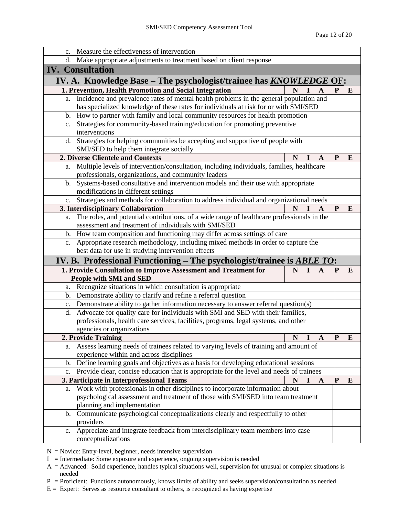|                                                                                                      | c. Measure the effectiveness of intervention                                                                                     |   |          |              |           |          |
|------------------------------------------------------------------------------------------------------|----------------------------------------------------------------------------------------------------------------------------------|---|----------|--------------|-----------|----------|
| d.                                                                                                   | Make appropriate adjustments to treatment based on client response                                                               |   |          |              |           |          |
|                                                                                                      | <b>IV.</b> Consultation                                                                                                          |   |          |              |           |          |
|                                                                                                      | IV. A. Knowledge Base – The psychologist/trainee has <i>KNOWLEDGE</i> OF:                                                        |   |          |              |           |          |
|                                                                                                      | 1. Prevention, Health Promotion and Social Integration                                                                           | N | I        | $\mathbf{A}$ | ${\bf P}$ | E        |
| a.                                                                                                   | Incidence and prevalence rates of mental health problems in the general population and                                           |   |          |              |           |          |
|                                                                                                      | has specialized knowledge of these rates for individuals at risk for or with SMI/SED                                             |   |          |              |           |          |
| b.                                                                                                   | How to partner with family and local community resources for health promotion                                                    |   |          |              |           |          |
| c.                                                                                                   | Strategies for community-based training/education for promoting preventive                                                       |   |          |              |           |          |
|                                                                                                      | interventions                                                                                                                    |   |          |              |           |          |
| d.                                                                                                   | Strategies for helping communities be accepting and supportive of people with                                                    |   |          |              |           |          |
|                                                                                                      | SMI/SED to help them integrate socially                                                                                          |   |          |              |           |          |
|                                                                                                      | 2. Diverse Clientele and Contexts                                                                                                | N |          | A            | P         | E        |
| Multiple levels of intervention/consultation, including individuals, families, healthcare<br>a.      |                                                                                                                                  |   |          |              |           |          |
| professionals, organizations, and community leaders                                                  |                                                                                                                                  |   |          |              |           |          |
| b.                                                                                                   | Systems-based consultative and intervention models and their use with appropriate                                                |   |          |              |           |          |
| modifications in different settings                                                                  |                                                                                                                                  |   |          |              |           |          |
| c. Strategies and methods for collaboration to address individual and organizational needs<br>N<br>A |                                                                                                                                  |   |          |              |           | E        |
|                                                                                                      | 3. Interdisciplinary Collaboration<br>The roles, and potential contributions, of a wide range of healthcare professionals in the |   |          |              | P         |          |
| a.                                                                                                   | assessment and treatment of individuals with SMI/SED                                                                             |   |          |              |           |          |
| b.                                                                                                   | How team composition and functioning may differ across settings of care                                                          |   |          |              |           |          |
| $c_{\cdot}$                                                                                          | Appropriate research methodology, including mixed methods in order to capture the                                                |   |          |              |           |          |
|                                                                                                      | best data for use in studying intervention effects                                                                               |   |          |              |           |          |
|                                                                                                      | IV. B. Professional Functioning – The psychologist/trainee is <b>ABLE TO</b> :                                                   |   |          |              |           |          |
|                                                                                                      | 1. Provide Consultation to Improve Assessment and Treatment for                                                                  |   | $N$ I A  |              | P         | E        |
|                                                                                                      | People with SMI and SED                                                                                                          |   |          |              |           |          |
| a.                                                                                                   | Recognize situations in which consultation is appropriate                                                                        |   |          |              |           |          |
| b.                                                                                                   | Demonstrate ability to clarify and refine a referral question                                                                    |   |          |              |           |          |
| $c_{\cdot}$                                                                                          | Demonstrate ability to gather information necessary to answer referral question(s)                                               |   |          |              |           |          |
| d.                                                                                                   | Advocate for quality care for individuals with SMI and SED with their families,                                                  |   |          |              |           |          |
|                                                                                                      | professionals, health care services, facilities, programs, legal systems, and other                                              |   |          |              |           |          |
|                                                                                                      | agencies or organizations                                                                                                        |   |          |              |           |          |
|                                                                                                      | 2. Provide Training                                                                                                              |   | $N$ I    | $\mathbf{A}$ | ${\bf P}$ | E        |
| a.                                                                                                   | Assess learning needs of trainees related to varying levels of training and amount of                                            |   |          |              |           |          |
|                                                                                                      | experience within and across disciplines                                                                                         |   |          |              |           |          |
| $\mathbf{b}$ .                                                                                       | Define learning goals and objectives as a basis for developing educational sessions                                              |   |          |              |           |          |
| $\mathbf{c}$ .                                                                                       | Provide clear, concise education that is appropriate for the level and needs of trainees                                         |   |          |              |           |          |
|                                                                                                      | 3. Participate in Interprofessional Teams                                                                                        | N | $\bf{I}$ | $\mathbf{A}$ | ${\bf P}$ | $\bf{E}$ |
| a.                                                                                                   | Work with professionals in other disciplines to incorporate information about                                                    |   |          |              |           |          |
|                                                                                                      | psychological assessment and treatment of those with SMI/SED into team treatment<br>planning and implementation                  |   |          |              |           |          |
| b.                                                                                                   | Communicate psychological conceptualizations clearly and respectfully to other                                                   |   |          |              |           |          |
|                                                                                                      | providers                                                                                                                        |   |          |              |           |          |
| $c_{\cdot}$                                                                                          | Appreciate and integrate feedback from interdisciplinary team members into case                                                  |   |          |              |           |          |
|                                                                                                      | conceptualizations                                                                                                               |   |          |              |           |          |
|                                                                                                      |                                                                                                                                  |   |          |              |           |          |

 $N =$  Novice: Entry-level, beginner, needs intensive supervision

 $I =$  Intermediate: Some exposure and experience, ongoing supervision is needed

A = Advanced: Solid experience, handles typical situations well, supervision for unusual or complex situations is needed

P = Proficient: Functions autonomously, knows limits of ability and seeks supervision/consultation as needed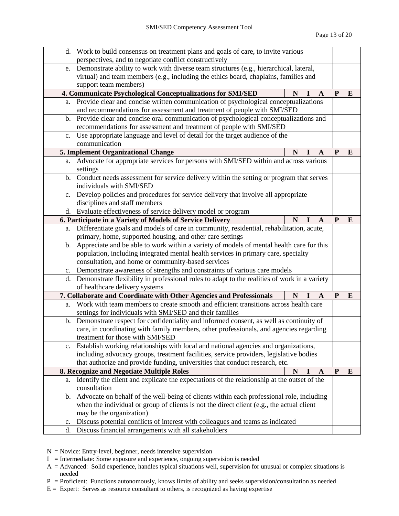|                | d. Work to build consensus on treatment plans and goals of care, to invite various<br>perspectives, and to negotiate conflict constructively                                  |             |    |   |   |          |
|----------------|-------------------------------------------------------------------------------------------------------------------------------------------------------------------------------|-------------|----|---|---|----------|
| e.             | Demonstrate ability to work with diverse team structures (e.g., hierarchical, lateral,                                                                                        |             |    |   |   |          |
|                | virtual) and team members (e.g., including the ethics board, chaplains, families and                                                                                          |             |    |   |   |          |
|                | support team members)                                                                                                                                                         |             |    |   |   |          |
|                | 4. Communicate Psychological Conceptualizations for SMI/SED                                                                                                                   | N           | Т. | A | P | E        |
|                | a. Provide clear and concise written communication of psychological conceptualizations                                                                                        |             |    |   |   |          |
|                | and recommendations for assessment and treatment of people with SMI/SED                                                                                                       |             |    |   |   |          |
|                | b. Provide clear and concise oral communication of psychological conceptualizations and                                                                                       |             |    |   |   |          |
|                | recommendations for assessment and treatment of people with SMI/SED                                                                                                           |             |    |   |   |          |
| $c_{\cdot}$    | Use appropriate language and level of detail for the target audience of the                                                                                                   |             |    |   |   |          |
| communication  |                                                                                                                                                                               |             |    |   |   |          |
|                | 5. Implement Organizational Change                                                                                                                                            | N           | Ι. | A | P | $\bf{E}$ |
|                | a. Advocate for appropriate services for persons with SMI/SED within and across various                                                                                       |             |    |   |   |          |
|                | settings                                                                                                                                                                      |             |    |   |   |          |
|                | b. Conduct needs assessment for service delivery within the setting or program that serves                                                                                    |             |    |   |   |          |
|                | individuals with SMI/SED                                                                                                                                                      |             |    |   |   |          |
|                | c. Develop policies and procedures for service delivery that involve all appropriate                                                                                          |             |    |   |   |          |
|                | disciplines and staff members                                                                                                                                                 |             |    |   |   |          |
| d.             | Evaluate effectiveness of service delivery model or program                                                                                                                   |             |    |   |   |          |
|                | 6. Participate in a Variety of Models of Service Delivery                                                                                                                     | N           |    | A | P | E        |
| a.             | Differentiate goals and models of care in community, residential, rehabilitation, acute,                                                                                      |             |    |   |   |          |
|                | primary, home, supported housing, and other care settings                                                                                                                     |             |    |   |   |          |
| $\mathbf{b}$ . | Appreciate and be able to work within a variety of models of mental health care for this                                                                                      |             |    |   |   |          |
|                | population, including integrated mental health services in primary care, specialty                                                                                            |             |    |   |   |          |
|                | consultation, and home or community-based services                                                                                                                            |             |    |   |   |          |
|                | c. Demonstrate awareness of strengths and constraints of various care models                                                                                                  |             |    |   |   |          |
|                | d. Demonstrate flexibility in professional roles to adapt to the realities of work in a variety                                                                               |             |    |   |   |          |
|                | of healthcare delivery systems                                                                                                                                                |             |    |   |   |          |
|                | 7. Collaborate and Coordinate with Other Agencies and Professionals                                                                                                           | N           |    | A | P | E        |
| a.             | Work with team members to create smooth and efficient transitions across health care                                                                                          |             |    |   |   |          |
|                | settings for individuals with SMI/SED and their families                                                                                                                      |             |    |   |   |          |
| b.             | Demonstrate respect for confidentiality and informed consent, as well as continuity of                                                                                        |             |    |   |   |          |
|                | care, in coordinating with family members, other professionals, and agencies regarding                                                                                        |             |    |   |   |          |
|                | treatment for those with SMI/SED                                                                                                                                              |             |    |   |   |          |
| $\mathbf{c}$ . | Establish working relationships with local and national agencies and organizations,<br>including advocacy groups, treatment facilities, service providers, legislative bodies |             |    |   |   |          |
|                | that authorize and provide funding, universities that conduct research, etc.                                                                                                  |             |    |   |   |          |
|                | 8. Recognize and Negotiate Multiple Roles                                                                                                                                     | $\mathbf N$ | 1  | A | P | E        |
| a.             | Identify the client and explicate the expectations of the relationship at the outset of the                                                                                   |             |    |   |   |          |
|                | consultation                                                                                                                                                                  |             |    |   |   |          |
| b.             | Advocate on behalf of the well-being of clients within each professional role, including                                                                                      |             |    |   |   |          |
|                | when the individual or group of clients is not the direct client (e.g., the actual client                                                                                     |             |    |   |   |          |
|                | may be the organization)                                                                                                                                                      |             |    |   |   |          |
|                |                                                                                                                                                                               |             |    |   |   |          |
| $\mathbf{c}$ . | Discuss potential conflicts of interest with colleagues and teams as indicated                                                                                                |             |    |   |   |          |

- $N =$  Novice: Entry-level, beginner, needs intensive supervision
- $I =$  Intermediate: Some exposure and experience, ongoing supervision is needed
- A = Advanced: Solid experience, handles typical situations well, supervision for unusual or complex situations is needed
- P = Proficient: Functions autonomously, knows limits of ability and seeks supervision/consultation as needed
- $E =$  Expert: Serves as resource consultant to others, is recognized as having expertise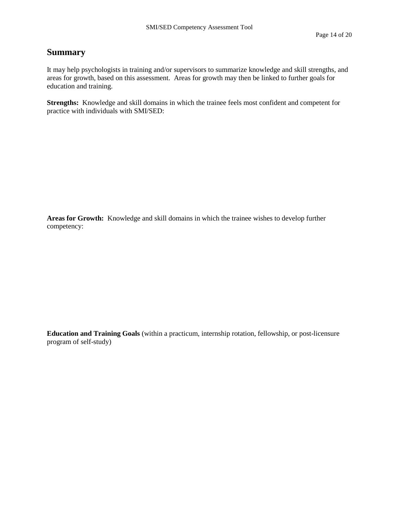# **Summary**

It may help psychologists in training and/or supervisors to summarize knowledge and skill strengths, and areas for growth, based on this assessment. Areas for growth may then be linked to further goals for education and training.

**Strengths:** Knowledge and skill domains in which the trainee feels most confident and competent for practice with individuals with SMI/SED:

**Areas for Growth:** Knowledge and skill domains in which the trainee wishes to develop further competency:

**Education and Training Goals** (within a practicum, internship rotation, fellowship, or post-licensure program of self-study)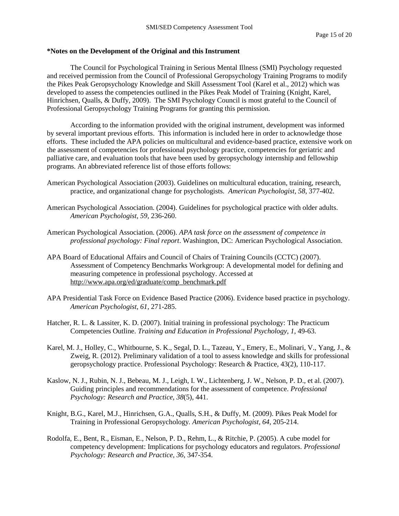#### **\*Notes on the Development of the Original and this Instrument**

The Council for Psychological Training in Serious Mental Illness (SMI) Psychology requested and received permission from the Council of Professional Geropsychology Training Programs to modify the Pikes Peak Geropsychology Knowledge and Skill Assessment Tool (Karel et al., 2012) which was developed to assess the competencies outlined in the Pikes Peak Model of Training (Knight, Karel, Hinrichsen, Qualls, & Duffy, 2009). The SMI Psychology Council is most grateful to the Council of Professional Geropsychology Training Programs for granting this permission.

According to the information provided with the original instrument, development was informed by several important previous efforts. This information is included here in order to acknowledge those efforts. These included the APA policies on multicultural and evidence-based practice, extensive work on the assessment of competencies for professional psychology practice, competencies for geriatric and palliative care, and evaluation tools that have been used by geropsychology internship and fellowship programs. An abbreviated reference list of those efforts follows:

- American Psychological Association (2003). Guidelines on multicultural education, training, research, practice, and organizational change for psychologists. *American Psychologist, 58*, 377-402.
- American Psychological Association. (2004). Guidelines for psychological practice with older adults. *American Psychologist, 59*, 236-260.
- American Psychological Association. (2006). *APA task force on the assessment of competence in professional psychology: Final report*. Washington, DC: American Psychological Association.
- APA Board of Educational Affairs and Council of Chairs of Training Councils (CCTC) (2007). Assessment of Competency Benchmarks Workgroup: A developmental model for defining and measuring competence in professional psychology. Accessed at [http://www.apa.org/ed/graduate/comp\\_benchmark.pdf](http://www.apa.org/ed/graduate/comp_benchmark.pdf)
- APA Presidential Task Force on Evidence Based Practice (2006). Evidence based practice in psychology. *American Psychologist, 61*, 271-285.
- Hatcher, R. L. & Lassiter, K. D. (2007). Initial training in professional psychology: The Practicum Competencies Outline. *Training and Education in Professional Psychology, 1,* 49-63.
- Karel, M. J., Holley, C., Whitbourne, S. K., Segal, D. L., Tazeau, Y., Emery, E., Molinari, V., Yang, J., & Zweig, R. (2012). Preliminary validation of a tool to assess knowledge and skills for professional geropsychology practice. Professional Psychology: Research & Practice, 43(2), 110-117.
- Kaslow, N. J., Rubin, N. J., Bebeau, M. J., Leigh, I. W., Lichtenberg, J. W., Nelson, P. D., et al. (2007). Guiding principles and recommendations for the assessment of competence. *Professional Psychology: Research and Practice, 38*(5), 441.
- Knight, B.G., Karel, M.J., Hinrichsen, G.A., Qualls, S.H., & Duffy, M. (2009). Pikes Peak Model for Training in Professional Geropsychology*. American Psychologist, 64,* 205-214.
- Rodolfa, E., Bent, R., Eisman, E., Nelson, P. D., Rehm, L., & Ritchie, P. (2005). A cube model for competency development: Implications for psychology educators and regulators. *Professional Psychology: Research and Practice, 36*, 347-354.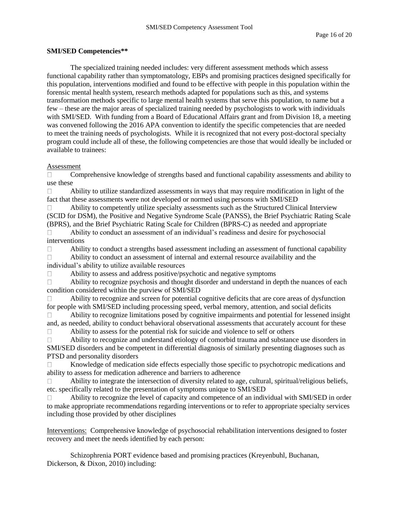### **SMI/SED Competencies\*\***

The specialized training needed includes: very different assessment methods which assess functional capability rather than symptomatology, EBPs and promising practices designed specifically for this population, interventions modified and found to be effective with people in this population within the forensic mental health system, research methods adapted for populations such as this, and systems transformation methods specific to large mental health systems that serve this population, to name but a few – these are the major areas of specialized training needed by psychologists to work with individuals with SMI/SED. With funding from a Board of Educational Affairs grant and from Division 18, a meeting was convened following the 2016 APA convention to identify the specific competencies that are needed to meet the training needs of psychologists. While it is recognized that not every post-doctoral specialty program could include all of these, the following competencies are those that would ideally be included or available to trainees:

### Assessment

Comprehensive knowledge of strengths based and functional capability assessments and ability to  $\Box$ use these

Ability to utilize standardized assessments in ways that may require modification in light of the  $\Box$ fact that these assessments were not developed or normed using persons with SMI/SED

Ability to competently utilize specialty assessments such as the Structured Clinical Interview  $\Box$ (SCID for DSM), the Positive and Negative Syndrome Scale (PANSS), the Brief Psychiatric Rating Scale (BPRS), and the Brief Psychiatric Rating Scale for Children (BPRS-C) as needed and appropriate

 $\Box$ Ability to conduct an assessment of an individual's readiness and desire for psychosocial interventions

Ability to conduct a strengths based assessment including an assessment of functional capability  $\Box$  $\Box$ Ability to conduct an assessment of internal and external resource availability and the individual's ability to utilize available resources

 $\Box$ Ability to assess and address positive/psychotic and negative symptoms

Ability to recognize psychosis and thought disorder and understand in depth the nuances of each  $\Box$ condition considered within the purview of SMI/SED

 $\Box$ Ability to recognize and screen for potential cognitive deficits that are core areas of dysfunction for people with SMI/SED including processing speed, verbal memory, attention, and social deficits

Ability to recognize limitations posed by cognitive impairments and potential for lessened insight  $\Box$ and, as needed, ability to conduct behavioral observational assessments that accurately account for these

Ability to assess for the potential risk for suicide and violence to self or others  $\Box$ 

 $\Box$ Ability to recognize and understand etiology of comorbid trauma and substance use disorders in SMI/SED disorders and be competent in differential diagnosis of similarly presenting diagnoses such as PTSD and personality disorders

Knowledge of medication side effects especially those specific to psychotropic medications and  $\Box$ ability to assess for medication adherence and barriers to adherence

Ability to integrate the intersection of diversity related to age, cultural, spiritual/religious beliefs,  $\Box$ etc. specifically related to the presentation of symptoms unique to SMI/SED

Ability to recognize the level of capacity and competence of an individual with SMI/SED in order  $\Box$ to make appropriate recommendations regarding interventions or to refer to appropriate specialty services including those provided by other disciplines

Interventions: Comprehensive knowledge of psychosocial rehabilitation interventions designed to foster recovery and meet the needs identified by each person:

Schizophrenia PORT evidence based and promising practices (Kreyenbuhl, Buchanan, Dickerson, & Dixon, 2010) including: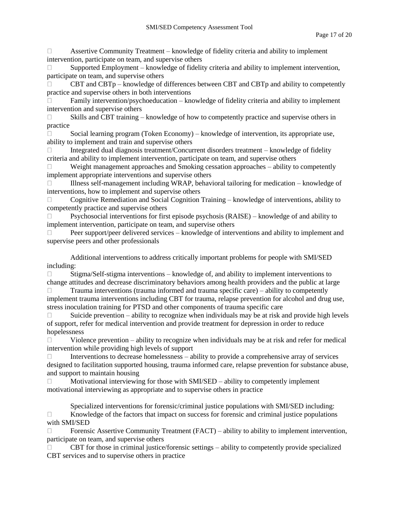Assertive Community Treatment – knowledge of fidelity criteria and ability to implement  $\Box$ intervention, participate on team, and supervise others

Supported Employment – knowledge of fidelity criteria and ability to implement intervention,  $\Box$ participate on team, and supervise others

CBT and CBTp – knowledge of differences between CBT and CBTp and ability to competently  $\Box$ practice and supervise others in both interventions

Family intervention/psychoeducation – knowledge of fidelity criteria and ability to implement  $\Box$ intervention and supervise others

Skills and CBT training – knowledge of how to competently practice and supervise others in  $\Box$ practice

Social learning program (Token Economy) – knowledge of intervention, its appropriate use,  $\Box$ ability to implement and train and supervise others

Integrated dual diagnosis treatment/Concurrent disorders treatment – knowledge of fidelity  $\Box$ criteria and ability to implement intervention, participate on team, and supervise others

Weight management approaches and Smoking cessation approaches – ability to competently  $\Box$ implement appropriate interventions and supervise others

Illness self-management including WRAP, behavioral tailoring for medication – knowledge of  $\Box$ interventions, how to implement and supervise others

 $\Box$ Cognitive Remediation and Social Cognition Training – knowledge of interventions, ability to competently practice and supervise others

Psychosocial interventions for first episode psychosis (RAISE) – knowledge of and ability to  $\Box$ implement intervention, participate on team, and supervise others

Peer support/peer delivered services – knowledge of interventions and ability to implement and  $\Box$ supervise peers and other professionals

Additional interventions to address critically important problems for people with SMI/SED including:

Stigma/Self-stigma interventions – knowledge of, and ability to implement interventions to  $\Box$ change attitudes and decrease discriminatory behaviors among health providers and the public at large

Trauma interventions (trauma informed and trauma specific care) – ability to competently  $\Box$ implement trauma interventions including CBT for trauma, relapse prevention for alcohol and drug use, stress inoculation training for PTSD and other components of trauma specific care

Suicide prevention – ability to recognize when individuals may be at risk and provide high levels  $\Box$ of support, refer for medical intervention and provide treatment for depression in order to reduce hopelessness

 $\Box$ Violence prevention – ability to recognize when individuals may be at risk and refer for medical intervention while providing high levels of support

Interventions to decrease homelessness – ability to provide a comprehensive array of services designed to facilitation supported housing, trauma informed care, relapse prevention for substance abuse, and support to maintain housing

Motivational interviewing for those with SMI/SED – ability to competently implement  $\Box$ motivational interviewing as appropriate and to supervise others in practice

Specialized interventions for forensic/criminal justice populations with SMI/SED including: Knowledge of the factors that impact on success for forensic and criminal justice populations  $\Box$ with SMI/SED

Forensic Assertive Community Treatment (FACT) – ability to ability to implement intervention,  $\Box$ participate on team, and supervise others

CBT for those in criminal justice/forensic settings – ability to competently provide specialized  $\Box$ CBT services and to supervise others in practice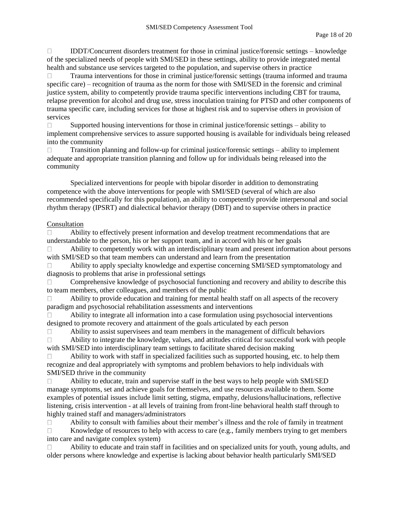IDDT/Concurrent disorders treatment for those in criminal justice/forensic settings – knowledge  $\Box$ of the specialized needs of people with SMI/SED in these settings, ability to provide integrated mental health and substance use services targeted to the population, and supervise others in practice

Trauma interventions for those in criminal justice/forensic settings (trauma informed and trauma  $\Box$ specific care) – recognition of trauma as the norm for those with SMI/SED in the forensic and criminal justice system, ability to competently provide trauma specific interventions including CBT for trauma, relapse prevention for alcohol and drug use, stress inoculation training for PTSD and other components of trauma specific care, including services for those at highest risk and to supervise others in provision of services

Supported housing interventions for those in criminal justice/forensic settings – ability to  $\Box$ implement comprehensive services to assure supported housing is available for individuals being released into the community

Transition planning and follow-up for criminal justice/forensic settings – ability to implement  $\Box$ adequate and appropriate transition planning and follow up for individuals being released into the community

Specialized interventions for people with bipolar disorder in addition to demonstrating competence with the above interventions for people with SMI/SED (several of which are also recommended specifically for this population), an ability to competently provide interpersonal and social rhythm therapy (IPSRT) and dialectical behavior therapy (DBT) and to supervise others in practice

### Consultation

 $\Box$ Ability to effectively present information and develop treatment recommendations that are understandable to the person, his or her support team, and in accord with his or her goals

Ability to competently work with an interdisciplinary team and present information about persons  $\Box$ with SMI/SED so that team members can understand and learn from the presentation

Ability to apply specialty knowledge and expertise concerning SMI/SED symptomatology and  $\Box$ diagnosis to problems that arise in professional settings

Comprehensive knowledge of psychosocial functioning and recovery and ability to describe this  $\Box$ to team members, other colleagues, and members of the public

 $\Box$ Ability to provide education and training for mental health staff on all aspects of the recovery paradigm and psychosocial rehabilitation assessments and interventions

Ability to integrate all information into a case formulation using psychosocial interventions  $\Box$ designed to promote recovery and attainment of the goals articulated by each person

Ability to assist supervisees and team members in the management of difficult behaviors  $\Box$ 

 $\Box$ Ability to integrate the knowledge, values, and attitudes critical for successful work with people with SMI/SED into interdisciplinary team settings to facilitate shared decision making

Ability to work with staff in specialized facilities such as supported housing, etc. to help them  $\Box$ recognize and deal appropriately with symptoms and problem behaviors to help individuals with SMI/SED thrive in the community

Ability to educate, train and supervise staff in the best ways to help people with SMI/SED  $\Box$ manage symptoms, set and achieve goals for themselves, and use resources available to them. Some examples of potential issues include limit setting, stigma, empathy, delusions/hallucinations, reflective listening, crisis intervention - at all levels of training from front-line behavioral health staff through to highly trained staff and managers/administrators

 $\Box$ Ability to consult with families about their member's illness and the role of family in treatment  $\Box$ Knowledge of resources to help with access to care (e.g., family members trying to get members into care and navigate complex system)

Ability to educate and train staff in facilities and on specialized units for youth, young adults, and  $\Box$ older persons where knowledge and expertise is lacking about behavior health particularly SMI/SED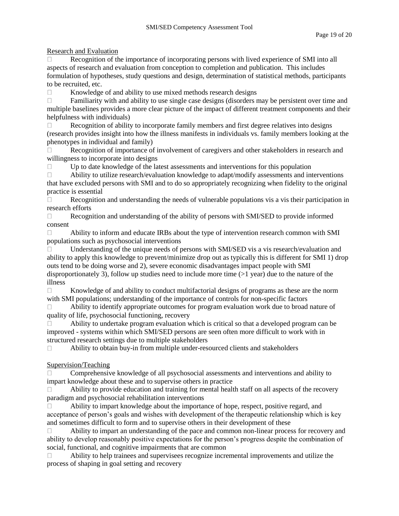Research and Evaluation

Recognition of the importance of incorporating persons with lived experience of SMI into all  $\Box$ aspects of research and evaluation from conception to completion and publication. This includes formulation of hypotheses, study questions and design, determination of statistical methods, participants to be recruited, etc.

 $\Box$ Knowledge of and ability to use mixed methods research designs

 $\Box$ Familiarity with and ability to use single case designs (disorders may be persistent over time and multiple baselines provides a more clear picture of the impact of different treatment components and their helpfulness with individuals)

Recognition of ability to incorporate family members and first degree relatives into designs  $\Box$ (research provides insight into how the illness manifests in individuals vs. family members looking at the phenotypes in individual and family)

Recognition of importance of involvement of caregivers and other stakeholders in research and  $\Box$ willingness to incorporate into designs

Up to date knowledge of the latest assessments and interventions for this population  $\Box$ 

Ability to utilize research/evaluation knowledge to adapt/modify assessments and interventions  $\Box$ that have excluded persons with SMI and to do so appropriately recognizing when fidelity to the original practice is essential

 $\Box$ Recognition and understanding the needs of vulnerable populations vis a vis their participation in research efforts

Recognition and understanding of the ability of persons with SMI/SED to provide informed  $\Box$ consent

Ability to inform and educate IRBs about the type of intervention research common with SMI  $\Box$ populations such as psychosocial interventions

Understanding of the unique needs of persons with SMI/SED vis a vis research/evaluation and  $\Box$ ability to apply this knowledge to prevent/minimize drop out as typically this is different for SMI 1) drop outs tend to be doing worse and 2), severe economic disadvantages impact people with SMI disproportionately 3), follow up studies need to include more time  $(>1$  year) due to the nature of the illness

Knowledge of and ability to conduct multifactorial designs of programs as these are the norm  $\Box$ with SMI populations; understanding of the importance of controls for non-specific factors

Ability to identify appropriate outcomes for program evaluation work due to broad nature of  $\Box$ quality of life, psychosocial functioning, recovery

Ability to undertake program evaluation which is critical so that a developed program can be  $\Box$ improved - systems within which SMI/SED persons are seen often more difficult to work with in structured research settings due to multiple stakeholders

Ability to obtain buy-in from multiple under-resourced clients and stakeholders  $\Box$ 

# Supervision/Teaching

 $\Box$ Comprehensive knowledge of all psychosocial assessments and interventions and ability to impart knowledge about these and to supervise others in practice

Ability to provide education and training for mental health staff on all aspects of the recovery  $\Box$ paradigm and psychosocial rehabilitation interventions

Ability to impart knowledge about the importance of hope, respect, positive regard, and  $\Box$ acceptance of person's goals and wishes with development of the therapeutic relationship which is key and sometimes difficult to form and to supervise others in their development of these

Ability to impart an understanding of the pace and common non-linear process for recovery and П ability to develop reasonably positive expectations for the person's progress despite the combination of social, functional, and cognitive impairments that are common

Ability to help trainees and supervisees recognize incremental improvements and utilize the  $\Box$ process of shaping in goal setting and recovery